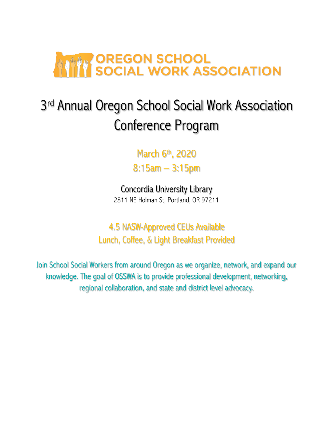

# 3<sup>rd</sup> Annual Oregon School Social Work Association Conference Program

March 6th, 2020

8:15am – 3:15pm

Concordia University Library 2811 NE Holman St, Portland, OR 97211

4.5 NASW-Approved CEUs Available Lunch, Coffee, & Light Breakfast Provided

Join School Social Workers from around Oregon as we organize, network, and expand our knowledge. The goal of OSSWA is to provide professional development, networking, regional collaboration, and state and district level advocacy.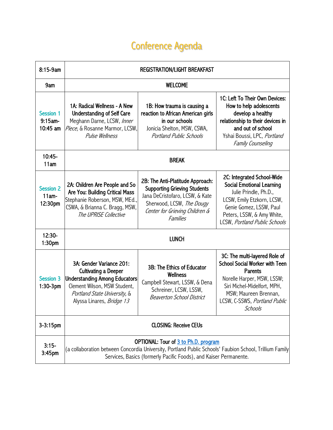## Conference Agenda

| 8:15-9am                                | <b>REGISTRATION/LIGHT BREAKFAST</b>                                                                                                                                                                                  |                                                                                                                                                                                       |                                                                                                                                                                                                                     |
|-----------------------------------------|----------------------------------------------------------------------------------------------------------------------------------------------------------------------------------------------------------------------|---------------------------------------------------------------------------------------------------------------------------------------------------------------------------------------|---------------------------------------------------------------------------------------------------------------------------------------------------------------------------------------------------------------------|
| 9am                                     | <b>WELCOME</b>                                                                                                                                                                                                       |                                                                                                                                                                                       |                                                                                                                                                                                                                     |
| Session 1<br>9:15am-<br>10:45 am        | 1A: Radical Wellness - A New<br><b>Understanding of Self Care</b><br>Meghann Darne, LCSW, Inner<br>Piece, & Rosanne Marmor, LCSW,<br><b>Pulse Wellness</b>                                                           | 1B: How trauma is causing a<br>reaction to African American girls<br>in our schools<br>Jonicia Shelton, MSW, CSWA,<br><b>Portland Public Schools</b>                                  | 1C: Left To Their Own Devices:<br>How to help adolescents<br>develop a healthy<br>relationship to their devices in<br>and out of school<br>Yshai Boussi, LPC, Portland<br><b>Family Counseling</b>                  |
| 10:45-<br>11am                          | <b>BREAK</b>                                                                                                                                                                                                         |                                                                                                                                                                                       |                                                                                                                                                                                                                     |
| <b>Session 2</b><br>$11am -$<br>12:30pm | 2A: Children Are People and So<br>Are You: Building Critical Mass<br>Stephanie Roberson, MSW, MEd.,<br>CSWA, & Brianna C. Bragg, MSW,<br>The UPRISE Collective                                                       | 2B: The Anti-Platitude Approach:<br><b>Supporting Grieving Students</b><br>Jana DeCristofaro, LCSW, & Kate<br>Sherwood, LCSW, The Dougy<br>Center for Grieving Children &<br>Families | 2C: Integrated School-Wide<br><b>Social Emotional Learning</b><br>Julie Prindle, Ph.D.,<br>LCSW, Emily Etzkorn, LCSW,<br>Genie Gomez, LSSW, Paul<br>Peters, LSSW, & Amy White,<br>LCSW, Portland Public Schools     |
| $12:30-$<br>1:30pm                      | <b>LUNCH</b>                                                                                                                                                                                                         |                                                                                                                                                                                       |                                                                                                                                                                                                                     |
| <b>Session 3</b><br>$1:30-3$ pm         | 3A: Gender Variance 201:<br><b>Cultivating a Deeper</b><br><b>Understanding Among Educators</b><br>Clement Wilson, MSW Student,<br>Portland State University, &<br>Alyssa Linares, Bridge 13                         | 3B: The Ethics of Educator<br>Wellness<br>Campbell Stewart, LSSW, & Dena<br>Schreiner, LCSW, LSSW,<br><b>Beaverton School District</b>                                                | 3C: The multi-layered Role of<br><b>School Social Worker with Teen</b><br>Parents<br>Norelle Harper, MSW, LSSW;<br>Siri Michel-Midelfort, MPH,<br>MSW; Maureen Brennan,<br>LCSW, C-SSWS, Portland Public<br>Schools |
| $3 - 3:15$ pm                           | <b>CLOSING: Receive CEUs</b>                                                                                                                                                                                         |                                                                                                                                                                                       |                                                                                                                                                                                                                     |
| $3:15-$<br>3:45pm                       | OPTIONAL: Tour of 3 to Ph.D. program<br>(a collaboration between Concordia University, Portland Public Schools' Faubion School, Trillium Family<br>Services, Basics (formerly Pacific Foods), and Kaiser Permanente. |                                                                                                                                                                                       |                                                                                                                                                                                                                     |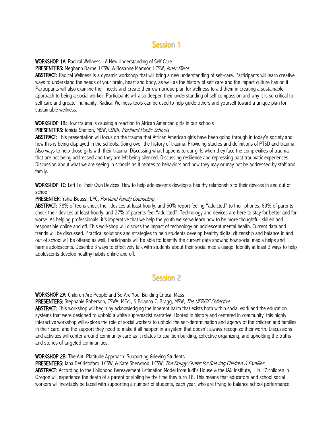## Session 1

WORKSHOP 1A: Radical Wellness - A New Understanding of Self Care

PRESENTERS: Meghann Darne, LCSW, & Rosanne Marmor, LCSW, Inner Piece

ABSTRACT: Radical Wellness is a dynamic workshop that will bring a new understanding of self-care. Participants will learn creative ways to understand the needs of your brain, heart and body, as well as the history of self care and the impact culture has on it. Participants will also examine their needs and create their own unique plan for wellness to aid them in creating a sustainable approach to being a social worker. Participants will also deepen their understanding of self compassion and why it is so critical to self care and greater humanity. Radical Wellness tools can be used to help guide others and yourself toward a unique plan for sustainable wellness.

#### WORKSHOP 1B: How trauma is causing a reaction to African American girls in our schools

#### PRESENTERS: Jonicia Shelton, MSW, CSWA, Portland Public Schools

ABSTRACT: This presentation will focus on the trauma that African American girls have been going through in today's society and how this is being displayed in the schools. Going over the history of trauma. Providing studies and definitions of PTSD and trauma. Also ways to help those girls with their trauma. Discussing what happens to our girls when they face the complexities of trauma that are not being addressed and they are left being silenced. Discussing resilience and repressing past traumatic experiences. Discussion about what we are seeing in schools as it relates to behaviors and how they may or may not be addressed by staff and family.

WORKSHOP 1C: Left To Their Own Devices: How to help adolescents develop a healthy relationship to their devices in and out of school

#### PRESENTER: Yshai Boussi, LPC, Portland Family Counseling

ABSTRACT: 78% of teens check their devices at least hourly, and 50% report feeling "addicted" to their phones. 69% of parents check their devices at least hourly, and 27% of parents feel "addicted". Technology and devices are here to stay for better and for worse. As helping professionals, it's imperative that we help the youth we serve learn how to be more thoughtful, skilled and responsible online and off. This workshop will discuss the impact of technology on adolescent mental health. Current data and trends will be discussed. Practical solutions and strategies to help students develop healthy digital citizenship and balance in and out of school will be offered as well. Participants will be able to: Identify the current data showing how social media helps and harms adolescents. Describe 3 ways to effectively talk with students about their social media usage. Identify at least 3 ways to help adolescents develop healthy habits online and off.

### Session 2

#### WORKSHOP 2A: Children Are People and So Are You: Building Critical Mass

PRESENTERS: Stephanie Roberson, CSWA, MEd., & Brianna C. Bragg, MSW, The UPRISE Collective

ABSTRACT: This workshop will begin by acknowledging the inherent harm that exists both within social work and the education systems that were designed to uphold a white supremacist narrative. Rooted in history and centered in community, this highly interactive workshop will explore the role of social workers to uphold the self-determination and agency of the children and families in their care, and the support they need to make it all happen in a system that doesn't always recognize their worth. Discussions and activities will center around community care as it relates to coalition building, collective organizing, and upholding the truths and stories of targeted communities.

#### WORKSHOP 2B: The Anti-Platitude Approach: Supporting Grieving Students

PRESENTERS: Jana DeCristofaro, LCSW, & Kate Sherwood, LCSW, The Dougy Center for Grieving Children & Families ABSTRACT: According to the Childhood Bereavement Estimation Model from Judi's House & the JAG Institute, 1 in 17 children in Oregon will experience the death of a parent or sibling by the time they turn 18. This means that educators and school social workers will inevitably be faced with supporting a number of students, each year, who are trying to balance school performance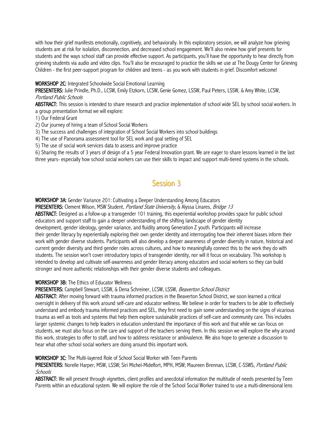with how their grief manifests emotionally, cognitively, and behaviorally. In this exploratory session, we will analyze how grieving students are at risk for isolation, disconnection, and decreased school engagement. We'll also review how grief presents for students and the ways school staff can provide effective support. As participants, you'll have the opportunity to hear directly from grieving students via audio and video clips. You'll also be encouraged to practice the skills we use at The Dougy Center for Grieving Children - the first peer-support program for children and teens - as you work with students in grief. Discomfort welcome!

#### WORKSHOP 2C: Integrated Schoolwide Social Emotional Learning

PRESENTERS: Julie Prindle, Ph.D., LCSW, Emily Etzkorn, LCSW, Genie Gomez, LSSW, Paul Peters, LSSW, & Amy White, LCSW, Portland Public Schools

ABSTRACT: This session is intended to share research and practice implementation of school wide SEL by school social workers. In a group presentation format we will explore:

1) Our Federal Grant

- 2) Our journey of hiring a team of School Social Workers
- 3) The success and challenges of integration of School Social Workers into school buildings
- 4) The use of Panorama assessment tool for SEL work and goal setting of SEL
- 5) The use of social work services data to assess and improve practice

6) Sharing the results of 3 years of design of a 5 year Federal Innovation grant. We are eager to share lessons learned in the last three years- especially how school social workers can use their skills to impact and support multi-tiered systems in the schools.

## Session 3

WORKSHOP 3A: Gender Variance 201: Cultivating a Deeper Understanding Among Educators

PRESENTERS: Clement Wilson, MSW Student, *Portland State University*, & Alyssa Linares, *Bridge 13* 

ABSTRACT: Designed as a follow-up a transgender 101 training, this experiential workshop provides space for public school educators and support staff to gain a deeper understanding of the shifting landscape of gender identity

development, gender ideology, gender variance, and fluidity among Generation Z youth. Participants will increase their gender literacy by experientially exploring their own gender identity and interrogating how their inherent biases inform their work with gender diverse students. Participants will also develop a deeper awareness of gender diversity in nature, historical and current gender diversity and third gender roles across cultures, and how to meaningfully connect this to the work they do with students. The session won't cover introductory topics of transgender identity, nor will it focus on vocabulary. This workshop is intended to develop and cultivate self-awareness and gender literacy among educators and social workers so they can build stronger and more authentic relationships with their gender diverse students and colleagues.

#### WORKSHOP 3B: The Ethics of Educator Wellness

PRESENTERS: Campbell Stewart, LSSW, & Dena Schreiner, LCSW, LSSW, Beaverton School District

ABSTRACT: After moving forward with trauma informed practices in the Beaverton School District, we soon learned a critical oversight in delivery of this work around self-care and educator wellness. We believe in order for teachers to be able to effectively understand and embody trauma informed practices and SEL, they first need to gain some understanding on the signs of vicarious trauma as well as tools and systems that help them explore sustainable practices of self-care and community care. This includes larger systemic changes to help leaders in education understand the importance of this work and that while we can focus on students, we must also focus on the care and support of the teachers serving them. In this session we will explore the why around this work, strategies to offer to staff, and how to address resistance or ambivalence. We also hope to generate a discussion to hear what other school social workers are doing around this important work.

#### WORKSHOP 3C: The Multi-layered Role of School Social Worker with Teen Parents

PRESENTERS: Norelle Harper, MSW, LSSW; Siri Michel-Midelfort, MPH, MSW; Maureen Brennan, LCSW, C-SSWS, Portland Public **Schools** 

ABSTRACT: We will present through vignettes, client profiles and anecdotal information the multitude of needs presented by Teen Parents within an educational system. We will explore the role of the School Social Worker trained to use a multi-dimensional lens